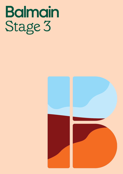## **Balmain** Stage 3